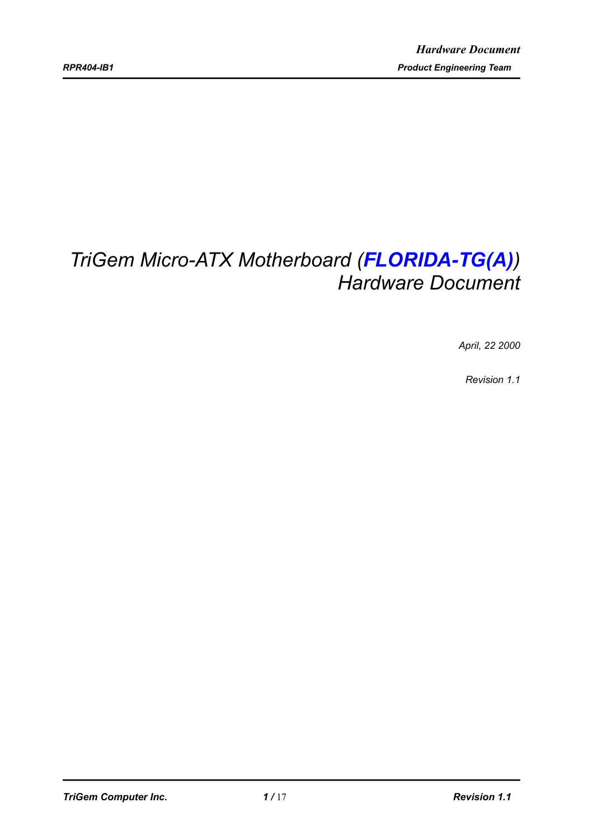# *TriGem Micro-ATX Motherboard (FLORIDA-TG(A)) Hardware Document*

*April, 22 2000*

*Revision 1.1*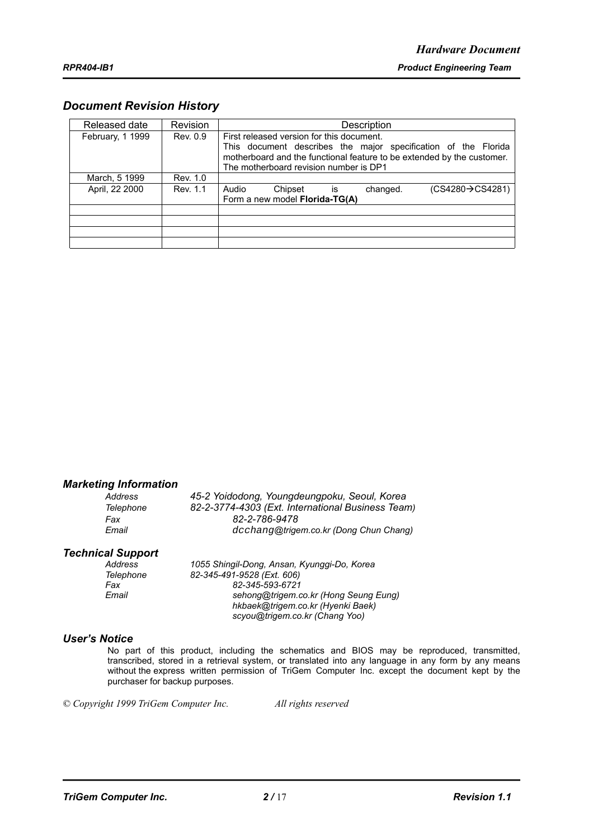## *Document Revision History*

| Released date    | Revision | Description                                                                                                                                                                                                                     |
|------------------|----------|---------------------------------------------------------------------------------------------------------------------------------------------------------------------------------------------------------------------------------|
| February, 1 1999 | Rev. 0.9 | First released version for this document.<br>This document describes the major specification of the Florida<br>motherboard and the functional feature to be extended by the customer.<br>The motherboard revision number is DP1 |
| March, 5 1999    | Rev. 1.0 |                                                                                                                                                                                                                                 |
| April, 22 2000   | Rev. 1.1 | Chipset<br>$(CS4280 \rightarrow CS4281)$<br>Audio<br>changed.<br>is is<br>Form a new model Florida-TG(A)                                                                                                                        |
|                  |          |                                                                                                                                                                                                                                 |
|                  |          |                                                                                                                                                                                                                                 |
|                  |          |                                                                                                                                                                                                                                 |
|                  |          |                                                                                                                                                                                                                                 |

# *Marketing Information*

| Address   | 45-2 Yoidodong, Youngdeungpoku, Seoul, Korea      |
|-----------|---------------------------------------------------|
| Telephone | 82-2-3774-4303 (Ext. International Business Team) |
| Fax       | 82-2-786-9478                                     |
| Email     | dcchang@trigem.co.kr (Dong Chun Chang)            |

# *Technical Support*

*Address 1055 Shingil-Dong, Ansan, Kyunggi-Do, Korea Telephone 82-345-491-9528 (Ext. 606) Fax 82-345-593-6721 Email sehong@trigem.co.kr (Hong Seung Eung) hkbaek@trigem.co.kr (Hyenki Baek) scyou@trigem.co.kr (Chang Yoo)*

#### *User's Notice*

No part of this product, including the schematics and BIOS may be reproduced, transmitted, transcribed, stored in a retrieval system, or translated into any language in any form by any means without the express written permission of TriGem Computer Inc. except the document kept by the purchaser for backup purposes.

*© Copyright 1999 TriGem Computer Inc. All rights reserved*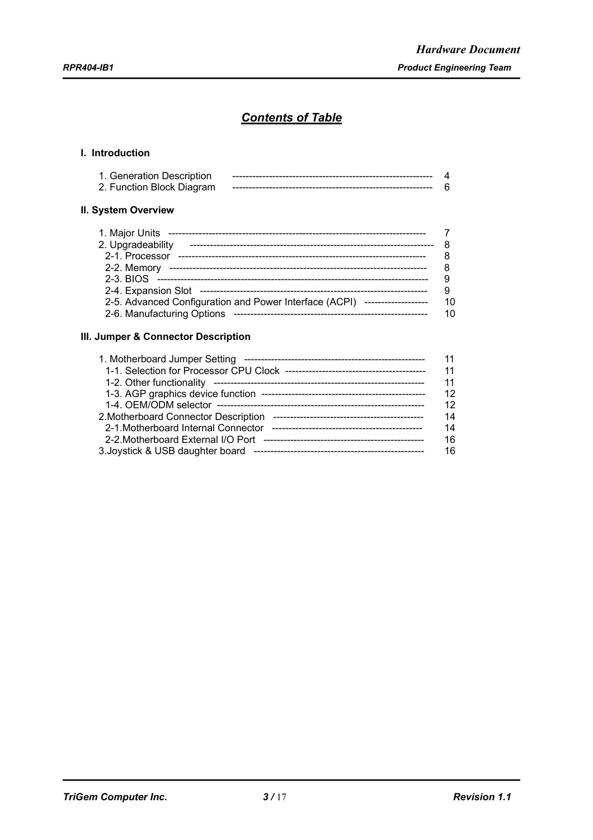# *Contents of Table*

#### **I. Introduction**

| 1. Generation Description<br>2. Function Block Diagram |   |
|--------------------------------------------------------|---|
| II. System Overview                                    |   |
| 1. Major Units                                         |   |
| 2. Upgradeability                                      |   |
| 2-1. Processor                                         | 8 |
| 2-2. Memory                                            | 8 |
| $\Omega$ $\Omega$ $\Omega$                             | ⌒ |

|                                                                            | a. |
|----------------------------------------------------------------------------|----|
| 2-5. Advanced Configuration and Power Interface (ACPI) ------------------- | 10 |
|                                                                            | 10 |

#### **III. Jumper & Connector Description**

| 1. Motherboard Jumper Setting       | 11 |
|-------------------------------------|----|
|                                     | 11 |
|                                     | 11 |
|                                     | 12 |
|                                     | 12 |
|                                     | 14 |
| 2-1. Motherboard Internal Connector | 14 |
|                                     | 16 |
| 3. Joystick & USB daughter board    | 16 |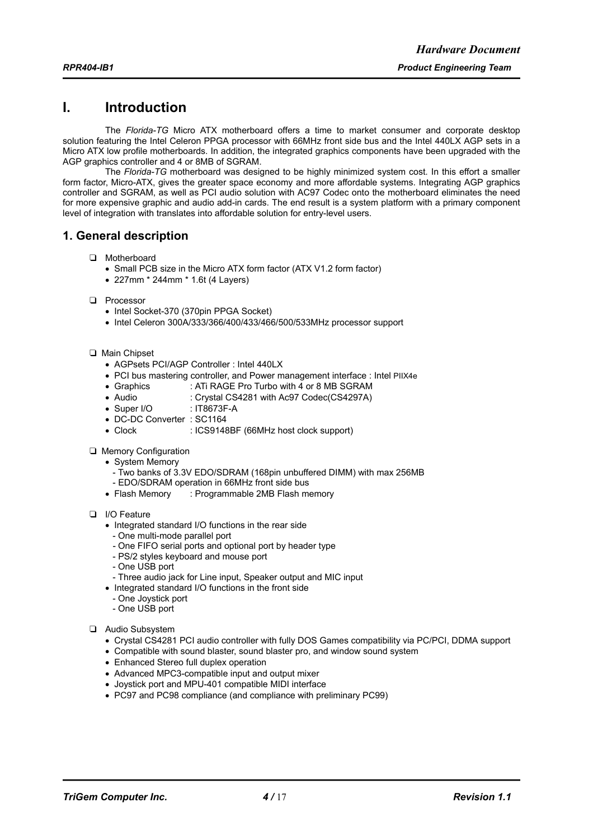# **I. Introduction**

The *Florida-TG* Micro ATX motherboard offers a time to market consumer and corporate desktop solution featuring the Intel Celeron PPGA processor with 66MHz front side bus and the Intel 440LX AGP sets in a Micro ATX low profile motherboards. In addition, the integrated graphics components have been upgraded with the AGP graphics controller and 4 or 8MB of SGRAM.

The *Florida-TG* motherboard was designed to be highly minimized system cost. In this effort a smaller form factor, Micro-ATX, gives the greater space economy and more affordable systems. Integrating AGP graphics controller and SGRAM, as well as PCI audio solution with AC97 Codec onto the motherboard eliminates the need for more expensive graphic and audio add-in cards. The end result is a system platform with a primary component level of integration with translates into affordable solution for entry-level users.

## **1. General description**

- T Motherboard
	- Small PCB size in the Micro ATX form factor (ATX V1.2 form factor)
	- 227mm \* 244mm \* 1.6t (4 Layers)
- D Processor
	- Intel Socket-370 (370pin PPGA Socket)
	- Intel Celeron 300A/333/366/400/433/466/500/533MHz processor support

#### T Main Chipset

- AGPsets PCI/AGP Controller : Intel 440LX
- PCI bus mastering controller, and Power management interface : Intel PIIX4e
- Graphics : ATi RAGE Pro Turbo with 4 or 8 MB SGRAM
- Audio : Crystal CS4281 with Ac97 Codec(CS4297A)
- Super I/O : IT8673F-A
- DC-DC Converter : SC1164
- Clock : ICS9148BF (66MHz host clock support)

**Q** Memory Configuration

- System Memory
- Two banks of 3.3V EDO/SDRAM (168pin unbuffered DIMM) with max 256MB
- EDO/SDRAM operation in 66MHz front side bus
- Flash Memory : Programmable 2MB Flash memory
- D I/O Feature
	- Integrated standard I/O functions in the rear side
	- One multi-mode parallel port
	- One FIFO serial ports and optional port by header type
	- PS/2 styles keyboard and mouse port
	- One USB port
	- Three audio jack for Line input, Speaker output and MIC input
	- Integrated standard I/O functions in the front side
	- One Joystick port
	- One USB port
- T Audio Subsystem
	- Crystal CS4281 PCI audio controller with fully DOS Games compatibility via PC/PCI, DDMA support
	- Compatible with sound blaster, sound blaster pro, and window sound system
	- Enhanced Stereo full duplex operation
	- Advanced MPC3-compatible input and output mixer
	- Joystick port and MPU-401 compatible MIDI interface
	- PC97 and PC98 compliance (and compliance with preliminary PC99)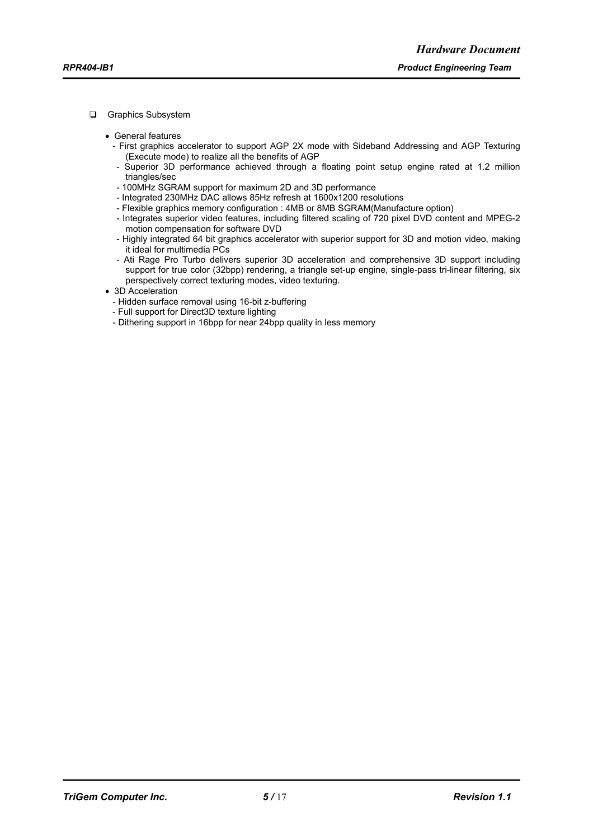- **Q** Graphics Subsystem
	- General features
		- First graphics accelerator to support AGP 2X mode with Sideband Addressing and AGP Texturing (Execute mode) to realize all the benefits of AGP
		- Superior 3D performance achieved through a floating point setup engine rated at 1.2 million triangles/sec
		- 100MHz SGRAM support for maximum 2D and 3D performance
		- Integrated 230MHz DAC allows 85Hz refresh at 1600x1200 resolutions
		- Flexible graphics memory configuration : 4MB or 8MB SGRAM(Manufacture option)
		- Integrates superior video features, including filtered scaling of 720 pixel DVD content and MPEG-2 motion compensation for software DVD
		- Highly integrated 64 bit graphics accelerator with superior support for 3D and motion video, making it ideal for multimedia PCs
		- Ati Rage Pro Turbo delivers superior 3D acceleration and comprehensive 3D support including support for true color (32bpp) rendering, a triangle set-up engine, single-pass tri-linear filtering, six perspectively correct texturing modes, video texturing.
	- 3D Acceleration
		- Hidden surface removal using 16-bit z-buffering
		- Full support for Direct3D texture lighting
		- Dithering support in 16bpp for near 24bpp quality in less memory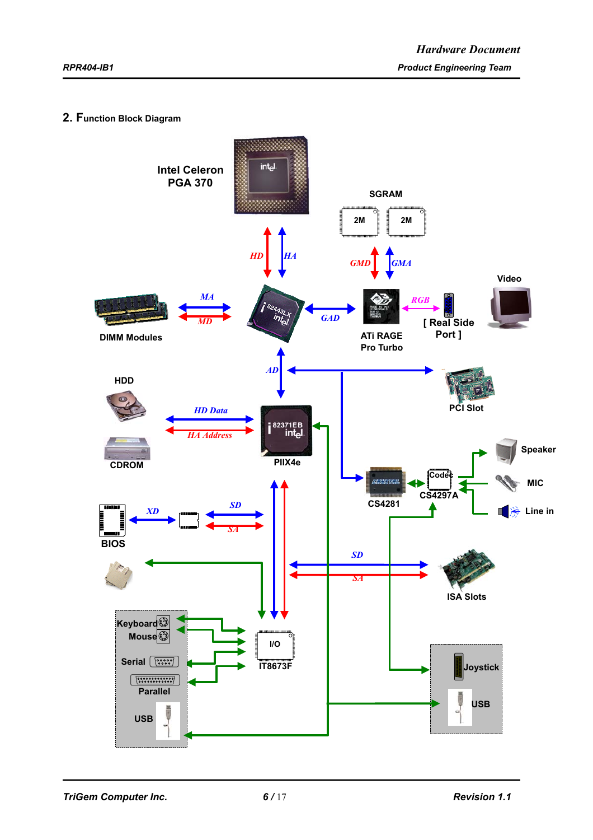#### **2. Function Block Diagram**

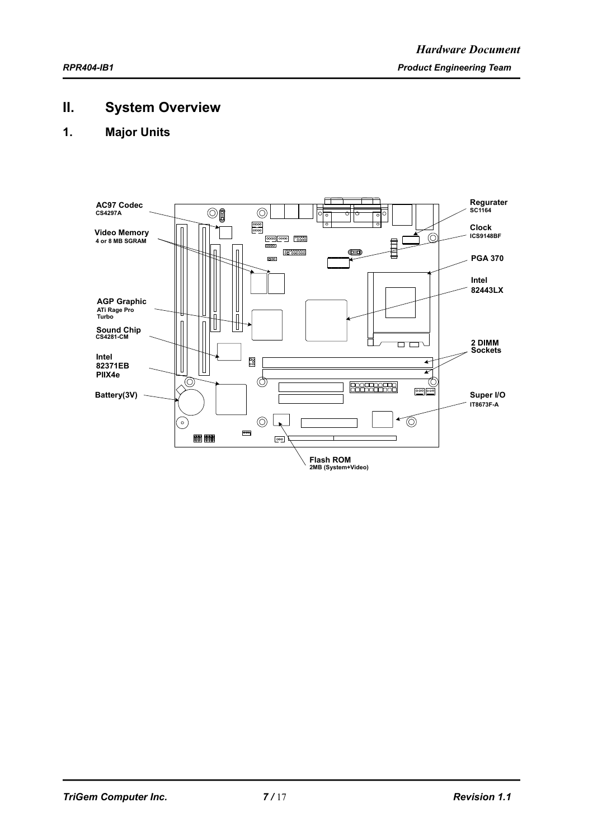# **II. System Overview**

## **1. Major Units**

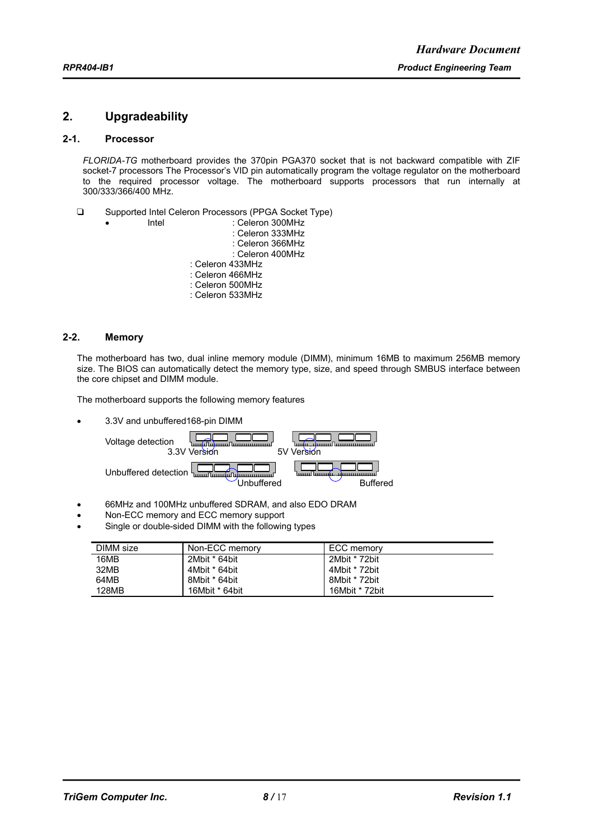## **2. Upgradeability**

#### **2-1. Processor**

*FLORIDA-TG* motherboard provides the 370pin PGA370 socket that is not backward compatible with ZIF socket-7 processors The Processor's VID pin automatically program the voltage regulator on the motherboard to the required processor voltage. The motherboard supports processors that run internally at 300/333/366/400 MHz.

- T Supported Intel Celeron Processors (PPGA Socket Type)
	- Intel : Celeron 300MHz : Celeron 333MHz : Celeron 366MHz : Celeron 400MHz : Celeron 433MHz : Celeron 466MHz : Celeron 500MHz
		- : Celeron 533MHz

#### **2-2. Memory**

The motherboard has two, dual inline memory module (DIMM), minimum 16MB to maximum 256MB memory size. The BIOS can automatically detect the memory type, size, and speed through SMBUS interface between the core chipset and DIMM module.

The motherboard supports the following memory features

• 3.3V and unbuffered168-pin DIMM



- 66MHz and 100MHz unbuffered SDRAM, and also EDO DRAM
- Non-ECC memory and ECC memory support
- Single or double-sided DIMM with the following types

| DIMM size | Non-ECC memory | ECC memory     |  |
|-----------|----------------|----------------|--|
| 16MB      | 2Mbit * 64bit  | 2Mbit * 72bit  |  |
| 32MB      | 4Mbit * 64bit  | 4Mbit * 72bit  |  |
| 64MB      | 8Mbit * 64bit  | 8Mbit * 72bit  |  |
| 128MB     | 16Mbit * 64bit | 16Mbit * 72bit |  |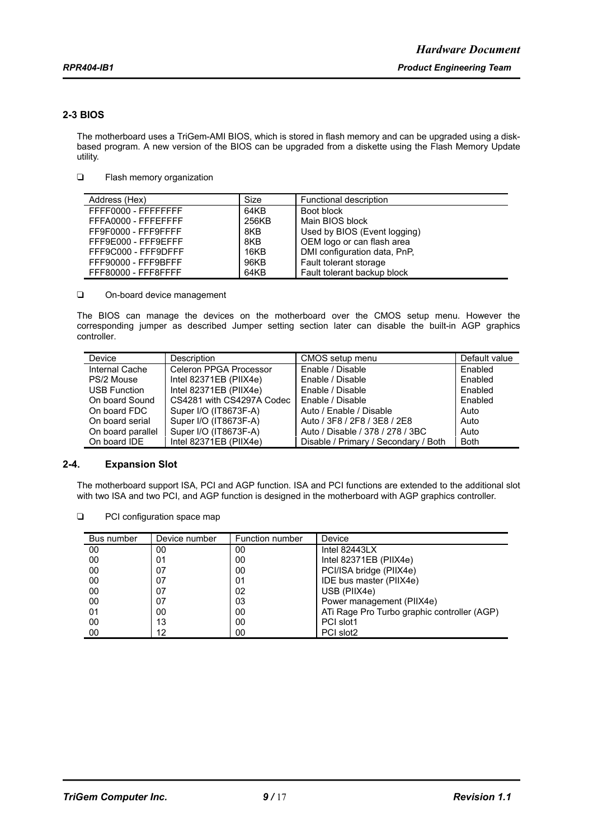#### **2-3 BIOS**

The motherboard uses a TriGem-AMI BIOS, which is stored in flash memory and can be upgraded using a diskbased program. A new version of the BIOS can be upgraded from a diskette using the Flash Memory Update utility.

**T** Flash memory organization

| Address (Hex)       | Size  | Functional description       |
|---------------------|-------|------------------------------|
| FFFF0000 - FFFFFFFF | 64KB  | Boot block                   |
| FFFA0000 - FFFEFFFF | 256KB | Main BIOS block              |
| FF9F0000 - FFF9FFFF | 8KB   | Used by BIOS (Event logging) |
| FFF9E000 - FFF9EFFF | 8KB   | OEM logo or can flash area   |
| FFF9C000 - FFF9DFFF | 16KB  | DMI configuration data, PnP, |
| FFF90000 - FFF9BFFF | 96KB  | Fault tolerant storage       |
| FFF80000 - FFF8FFFF | 64KB  | Fault tolerant backup block  |

On-board device management

The BIOS can manage the devices on the motherboard over the CMOS setup menu. However the corresponding jumper as described Jumper setting section later can disable the built-in AGP graphics controller.

| Device              | Description               | CMOS setup menu                      | Default value |
|---------------------|---------------------------|--------------------------------------|---------------|
| Internal Cache      | Celeron PPGA Processor    | Enable / Disable                     | Enabled       |
| PS/2 Mouse          | Intel $82371EB$ (PIIX4e)  | Enable / Disable                     | Enabled       |
| <b>USB Function</b> | Intel 82371EB (PIIX4e)    | Enable / Disable                     | Enabled       |
| On board Sound      | CS4281 with CS4297A Codec | Enable / Disable                     | Enabled       |
| On board FDC        | Super I/O (IT8673F-A)     | Auto / Enable / Disable              | Auto          |
| On board serial     | Super I/O (IT8673F-A)     | Auto / 3F8 / 2F8 / 3E8 / 2E8         | Auto          |
| On board parallel   | Super I/O (IT8673F-A)     | Auto / Disable / 378 / 278 / 3BC     | Auto          |
| On board IDE        | Intel $82371EB$ (PIIX4e)  | Disable / Primary / Secondary / Both | <b>Both</b>   |

#### **2-4. Expansion Slot**

The motherboard support ISA, PCI and AGP function. ISA and PCI functions are extended to the additional slot with two ISA and two PCI, and AGP function is designed in the motherboard with AGP graphics controller.

**D** PCI configuration space map

| Bus number | Device number | Function number | Device                                      |
|------------|---------------|-----------------|---------------------------------------------|
| 00         | 00            | 00              | Intel $82443LX$                             |
| 00         | 01            | 00              | Intel $82371EB$ (PIIX4e)                    |
| 00         | 07            | 00              | PCI/ISA bridge (PIIX4e)                     |
| 00         | 07            | 01              | IDE bus master (PIIX4e)                     |
| 00         | 07            | 02              | USB (PIIX4e)                                |
| 00         | 07            | 03              | Power management (PIIX4e)                   |
| 01         | 00            | 00              | ATi Rage Pro Turbo graphic controller (AGP) |
| 00         | 13            | 00              | PCI slot1                                   |
| 00         | 12            | 00              | PCI slot2                                   |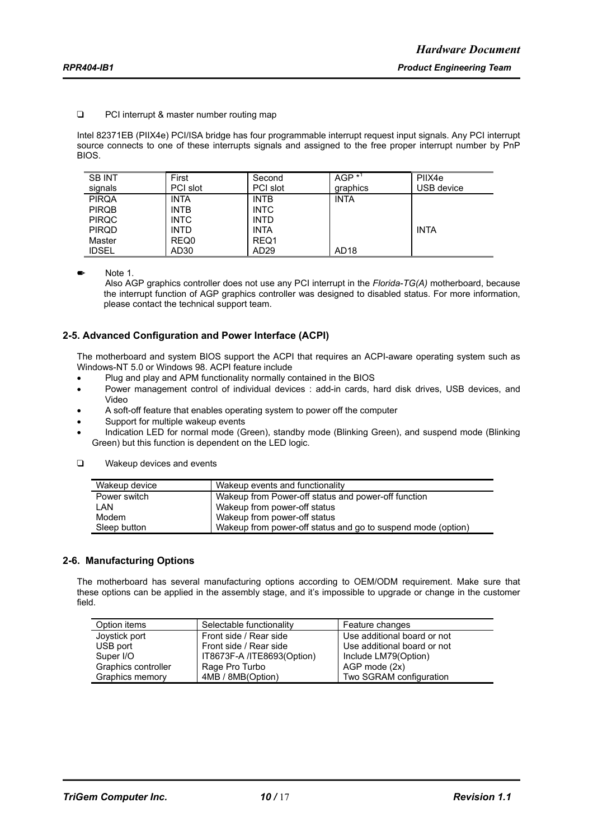#### □ PCI interrupt & master number routing map

Intel 82371EB (PIIX4e) PCI/ISA bridge has four programmable interrupt request input signals. Any PCI interrupt source connects to one of these interrupts signals and assigned to the free proper interrupt number by PnP BIOS.

| <b>SB INT</b> | First            | Second           | $AGP^*$          | PIIX4e      |
|---------------|------------------|------------------|------------------|-------------|
| signals       | PCI slot         | PCI slot         | graphics         | USB device  |
| <b>PIRQA</b>  | <b>INTA</b>      | <b>INTB</b>      | <b>INTA</b>      |             |
| <b>PIRQB</b>  | <b>INTB</b>      | <b>INTC</b>      |                  |             |
| <b>PIRQC</b>  | <b>INTC</b>      | <b>INTD</b>      |                  |             |
| <b>PIRQD</b>  | <b>INTD</b>      | <b>INTA</b>      |                  | <b>INTA</b> |
| Master        | REQ0             | REQ1             |                  |             |
| <b>IDSEL</b>  | AD <sub>30</sub> | AD <sub>29</sub> | AD <sub>18</sub> |             |

Note 1.

Also AGP graphics controller does not use any PCI interrupt in the *Florida-TG(A)* motherboard, because the interrupt function of AGP graphics controller was designed to disabled status. For more information, please contact the technical support team.

#### **2-5. Advanced Configuration and Power Interface (ACPI)**

The motherboard and system BIOS support the ACPI that requires an ACPI-aware operating system such as Windows-NT 5.0 or Windows 98. ACPI feature include

- Plug and play and APM functionality normally contained in the BIOS
- Power management control of individual devices : add-in cards, hard disk drives, USB devices, and Video
- A soft-off feature that enables operating system to power off the computer
- Support for multiple wakeup events
- Indication LED for normal mode (Green), standby mode (Blinking Green), and suspend mode (Blinking Green) but this function is dependent on the LED logic.

| Wakeup device | Wakeup events and functionality                              |
|---------------|--------------------------------------------------------------|
| Power switch  | Wakeup from Power-off status and power-off function          |
| LAN           | Wakeup from power-off status                                 |
| Modem         | Wakeup from power-off status                                 |
| Sleep button  | Wakeup from power-off status and go to suspend mode (option) |

#### **2-6. Manufacturing Options**

The motherboard has several manufacturing options according to OEM/ODM requirement. Make sure that these options can be applied in the assembly stage, and it's impossible to upgrade or change in the customer field.

| Option items        | Selectable functionality   | Feature changes             |
|---------------------|----------------------------|-----------------------------|
| Joystick port       | Front side / Rear side     | Use additional board or not |
| USB port            | Front side / Rear side     | Use additional board or not |
| Super I/O           | IT8673F-A /ITE8693(Option) | Include LM79(Option)        |
| Graphics controller | Rage Pro Turbo             | AGP mode (2x)               |
| Graphics memory     | 4MB / 8MB(Option)          | Two SGRAM configuration     |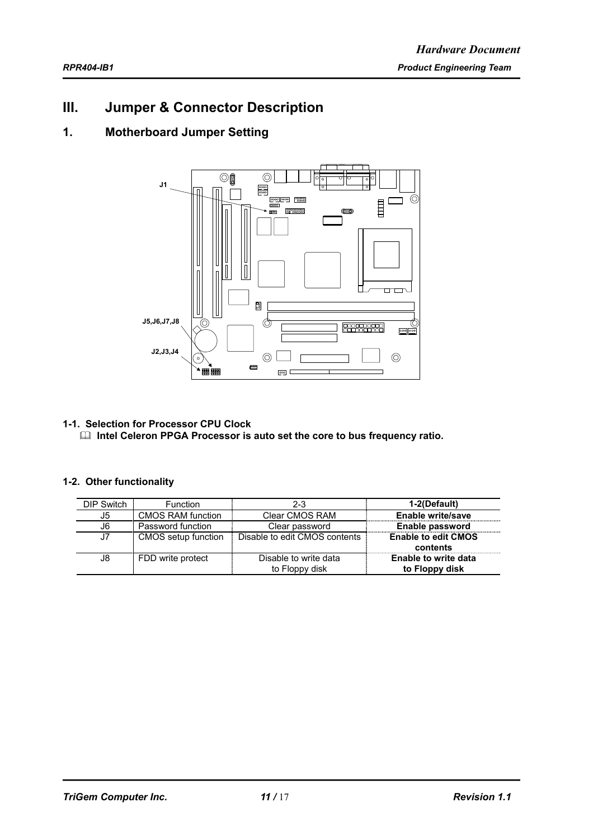# **III. Jumper & Connector Description**

# **1. Motherboard Jumper Setting**



### **1-1. Selection for Processor CPU Clock**

 $\Box$  Intel Celeron PPGA Processor is auto set the core to bus frequency ratio.

#### **1-2. Other functionality**

| DIP Switch | <b>Function</b>     | 2-3                                     | 1-2(Default)                                  |
|------------|---------------------|-----------------------------------------|-----------------------------------------------|
| J5         | CMOS RAM function   | Clear CMOS RAM                          | <b>Enable write/save</b>                      |
| J6.        | Password function   | Clear password                          | Enable password                               |
| J7         | CMOS setup function | Disable to edit CMOS contents           | <b>Enable to edit CMOS</b><br>contents        |
| J8         | FDD write protect   | Disable to write data<br>to Floppy disk | <b>Enable to write data</b><br>to Floppy disk |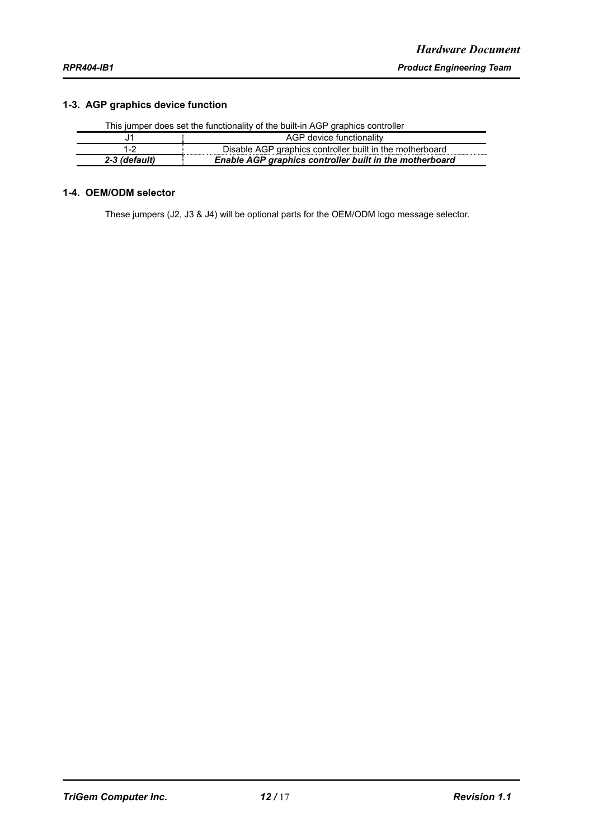#### **1-3. AGP graphics device function**

| This jumper does set the functionality of the built-in AGP graphics controller |                                                          |  |  |
|--------------------------------------------------------------------------------|----------------------------------------------------------|--|--|
|                                                                                | AGP device functionality                                 |  |  |
| 1-2                                                                            | Disable AGP graphics controller built in the motherboard |  |  |
| 2-3 (default)                                                                  | Enable AGP graphics controller built in the motherboard  |  |  |

#### **1-4. OEM/ODM selector**

These jumpers (J2, J3 & J4) will be optional parts for the OEM/ODM logo message selector.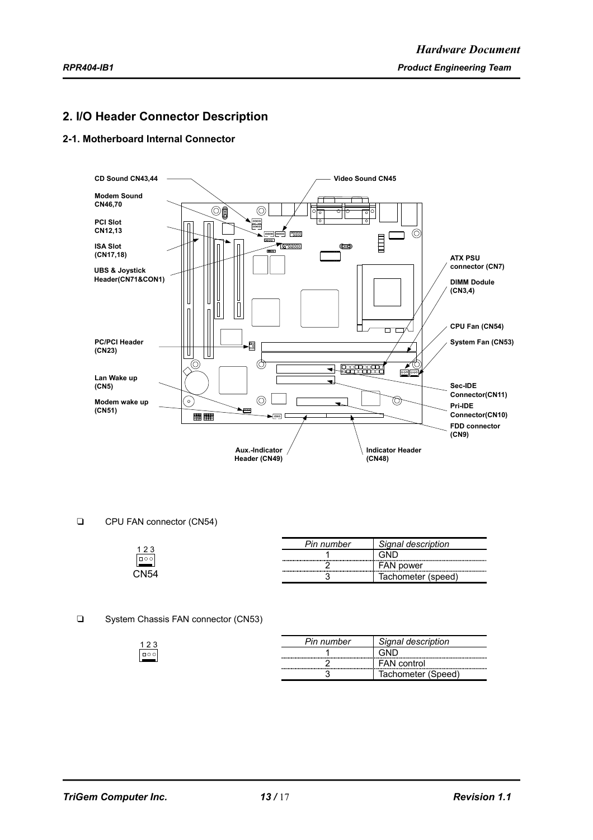# **2. I/O Header Connector Description**

#### **2-1. Motherboard Internal Connector**



#### CPU FAN connector (CN54)

|      | Pin number                                   | Signal description    |
|------|----------------------------------------------|-----------------------|
| ㅁㅇㅇㅣ |                                              | GND                   |
|      | -------------------<br>--------------------- | <b>FAN power</b>      |
| `N54 |                                              | lachometer<br>(speed, |

#### **T** System Chassis FAN connector (CN53)

| 123    | Pin number | Signal description |
|--------|------------|--------------------|
| $\Box$ |            | GNE                |
|        |            | <b>FAN</b> control |
|        |            | Tachometer (Speed) |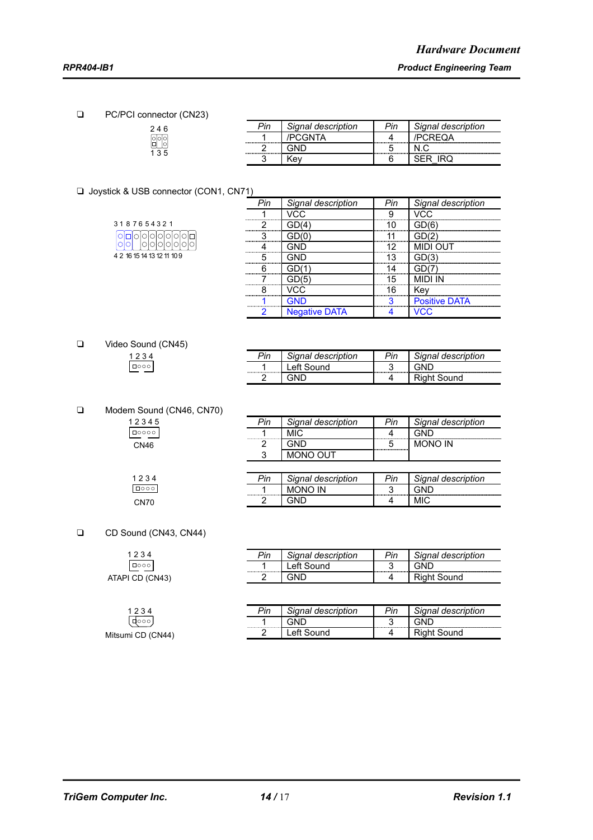D PC/PCI connector (CN23)

|   |        | ñ |  |
|---|--------|---|--|
| ž | ė<br>Ľ | č |  |
|   |        |   |  |
|   |        |   |  |

| Signal description |          | Signal description |
|--------------------|----------|--------------------|
|                    | -------- |                    |
|                    |          |                    |
|                    |          |                    |

**Joystick & USB connector (CON1, CN71)** 

| 3187654321                 |  |  |  |  |  |
|----------------------------|--|--|--|--|--|
| 000000000<br>00000000      |  |  |  |  |  |
| 4 2 16 15 14 13 12 11 10 9 |  |  |  |  |  |

|       | Signal description               | Pin                             | Signal description   |
|-------|----------------------------------|---------------------------------|----------------------|
|       |                                  | <br>                            |                      |
|       |                                  |                                 |                      |
|       |                                  |                                 |                      |
|       |                                  | ------------------------------- |                      |
|       |                                  |                                 |                      |
|       |                                  | <br>                            |                      |
|       |                                  |                                 |                      |
| o<br> |                                  |                                 | .ev                  |
|       | -------------------------------- |                                 | <b>Positive DATA</b> |
|       | <b>Negative DATA</b>             |                                 |                      |

□ Video Sound (CN45)  $\begin{array}{r} 1234 \\ \hline \text{1000} \end{array}$ 

| Signal description |               | 'n | Signal description |
|--------------------|---------------|----|--------------------|
|                    | ------------- |    |                    |
|                    |               |    | und                |

□ Modem Sound (CN46, CN70)

| 12345 |  |
|-------|--|
| 00000 |  |
| CN46  |  |

| Pin | Signal description | Pin | Signal description |
|-----|--------------------|-----|--------------------|
|     | MIC.               |     |                    |
|     |                    | 5   | <b>MONO IN</b>     |
|     | MONO OUT           |     |                    |
|     |                    |     |                    |
| Pin | Signal description | Pin | Signal description |
|     | <b>MONO IN</b>     |     |                    |
|     |                    |     |                    |

#### CD Sound (CN43, CN44)

1 2 3 4<br>[d्००) Mitsumi CD (CN44)

 $\begin{array}{|c|c|}\n 1 & 2 & 3 & 4 \\
\hline\n \hline\n \text{1000} & & \end{array}$ CN70

| 1234              | Pin | Signal description     | Pin   | Signal description |
|-------------------|-----|------------------------|-------|--------------------|
| $\overline{\Box}$ |     | <sub>-</sub> eft Sound | ◠<br> |                    |
| ATAPI CD (CN43)   |     |                        |       | Sound              |
|                   |     |                        |       |                    |
|                   |     |                        |       |                    |

| ⊃in | <b>™qnal description</b> |         | วิiqnal description |
|-----|--------------------------|---------|---------------------|
|     |                          | ∽<br>s. |                     |
|     | oπ<br>.U                 |         |                     |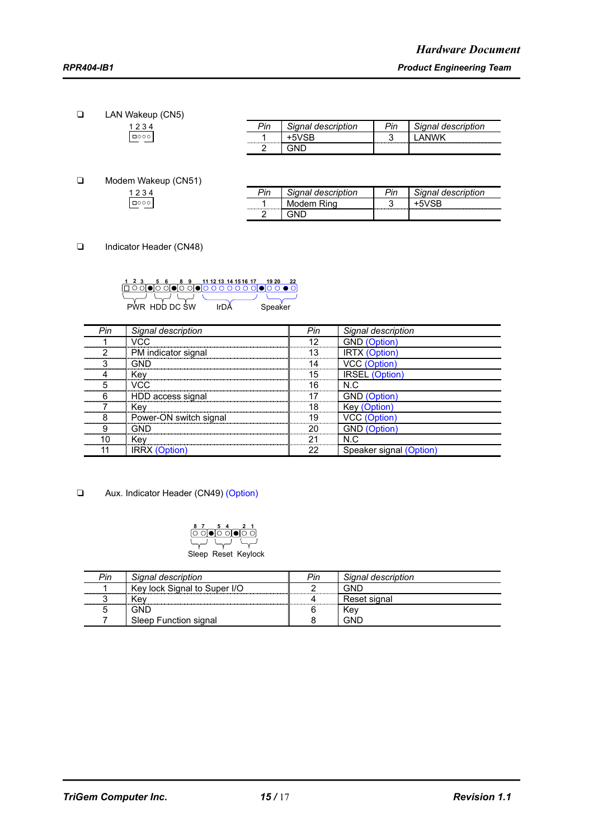| □ | LAN Wakeup (CN5) |  |
|---|------------------|--|
|   | 1234             |  |

| −in | Signal description | $\n  Time\n$ | Signal description |
|-----|--------------------|--------------|--------------------|
|     | -------------      | s.           |                    |
|     |                    |              |                    |

**T** Modem Wakeup (CN51)  $\begin{array}{r} 1234 \\ \hline \text{1000} \end{array}$ 

|  | nal description | gnal description |
|--|-----------------|------------------|
|  |                 |                  |
|  |                 |                  |

Indicator Header (CN48)

PWR HDD DC SW IrDA Speaker **1 2 3 5 6 8 9 11 12 13 14 15 16 17 19 20 22**

| Pin                               | Signal description     | Pin    | ınal description        |
|-----------------------------------|------------------------|--------|-------------------------|
|                                   | م ۱/۲                  | 10     |                         |
|                                   | PM indicator signal    | 13     | Antion'                 |
| --------------------------------- | GND                    |        | Intion'                 |
|                                   | Kev                    | 15     | (Ontion)                |
|                                   | VCC                    | 16     | N C                     |
|                                   | HDD access signal      |        | u∩n                     |
|                                   | Kev                    | 18     |                         |
|                                   | Power-ON switch signal |        |                         |
|                                   |                        | oc     | JD (Ontion)             |
|                                   | Kev<br>                | C.<br> | N C                     |
|                                   | <b>IRRX</b> (Option)   | 22     | Speaker signal (Option) |

□ Aux. Indicator Header (CN49) (Option)



| Pin | Signal description           | Pin | Signal description |
|-----|------------------------------|-----|--------------------|
|     | Key lock Signal to Super I/O |     | GND                |
|     | Kev                          |     | Reset signal       |
|     | GND                          |     | Kev                |
|     | Sleep Function signal        |     | GND                |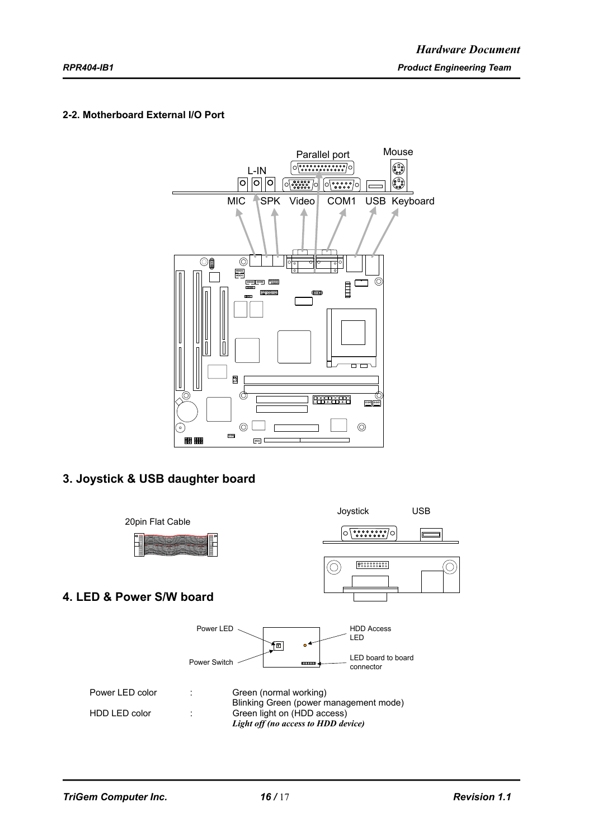### **2-2. Motherboard External I/O Port**



## **3. Joystick & USB daughter board**